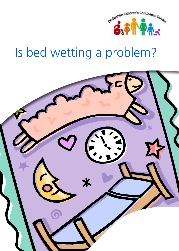

# Is bed wetting a problem?

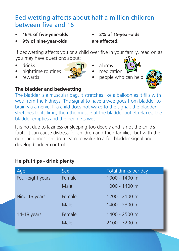# Bed wetting affects about half a million children between five and 16

**• 16% of five-year-olds**

**• 9% of nine-year-olds**

**• 2% of 15-year-olds are affected.**

If bedwetting affects you or a child over five in your family, read on as you may have questions about:

- drinks
- nighttime routines
- rewards

- 
- alarms • medication
- people who can help.



# **The bladder and bedwetting**

The bladder is a muscular bag. It stretches like a balloon as it fills with wee from the kidneys. The signal to have a wee goes from bladder to brain via a nerve. If a child does not wake to the signal, the bladder stretches to its limit, then the muscle at the bladder outlet relaxes, the bladder empties and the bed gets wet.

It is not due to laziness or sleeping too deeply and is not the child's fault. It can cause distress for children and their families, but with the right help most children learn to wake to a full bladder signal and develop bladder control.

# **Helpful tips - drink plenty**

| Age              | Sex    | Total drinks per day |
|------------------|--------|----------------------|
| Four-eight years | Female | 1000 - 1400 ml       |
|                  | Male   | 1000 - 1400 ml       |
| Nine-13 years    | Female | 1200 - 2100 ml       |
|                  | Male   | 1400 - 2300 ml       |
| 14-18 years      | Female | 1400 - 2500 ml       |
|                  | Male   | 2100 - 3200 ml       |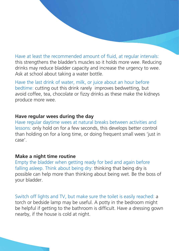Have at least the recommended amount of fluid, at regular intervals: this strengthens the bladder's muscles so it holds more wee. Reducing drinks may reduce bladder capacity and increase the urgency to wee. Ask at school about taking a water bottle.

Have the last drink of water, milk, or juice about an hour before bedtime: cutting out this drink rarely improves bedwetting, but avoid coffee, tea, chocolate or fizzy drinks as these make the kidneys produce more wee.

#### **Have regular wees during the day**

Have regular daytime wees at natural breaks between activities and lessons: only hold on for a few seconds, this develops better control than holding on for a long time, or doing frequent small wees 'just in case'.

#### **Make a night time routine**

Empty the bladder when getting ready for bed and again before falling asleep. Think about being dry: thinking that being dry is possible can help more than thinking about being wet. Be the boss of your bladder.

Switch off lights and TV, but make sure the toilet is easily reached: a torch or bedside lamp may be useful. A potty in the bedroom might be helpful if getting to the bathroom is difficult. Have a dressing gown nearby, if the house is cold at night.